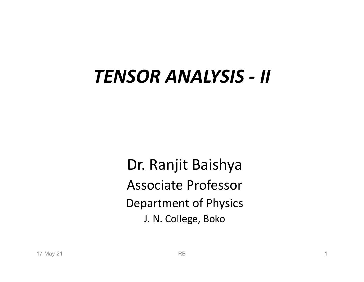# TENSOR ANALYSIS - II

Dr. Ranjit Baishya Associate Professor Department of Physics J. N. College, Boko **Dr. Ranjit Baishya<br>Associate Professor**<br>Department of Physics<br>J. N. College, Boko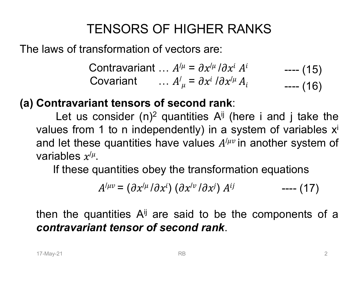# TENSORS OF HIGHER RANKS

The laws of transformation of vectors are:

TENSORS OF HIGHER RANKS<br>ansformation of vectors are:<br>Contravariant …  $A^{/\mu} = \frac{\partial x^{/\mu}}{\partial x^i} A^i$  —— (<br>Covariant …  $A^{/\mu} = \frac{\partial x^{i}}{\partial x^{/\mu}} A_i$  —— ( Contravariant ...  $A^{/\mu} = \partial x^{/\mu}/\partial x^{i} A^{i}$  ---- (15) Covariant  $\ldots A'_{\mu} = \partial x^{i} \partial x'^{\mu} A_{i}$  ---- (16  $--- (16)$ ---- (15)<br>---- (16)<br>i take the ---- (15)<br>---- (16)<br>---- (16)

TENSORS OF HIGHER RANKS<br>
The laws of transformation of vectors are:<br>
Contravariant ...  $A^{/\mu} = \partial x^{/\mu}/\partial x^{i} A^{i}$ <br>
Covariant ...  $A^{/\mu} = \partial x^{i}/\partial x^{/\mu} A_{i}$ <br>
(a) Contravariant tensors of second rank:<br>
Let us consider (n)<sup>2</sup> TENSORS OF HIGHER RANKS<br>
so transformation of vectors are:<br>
Contravariant ...  $A^{/\mu} = \frac{\partial x^{/\mu}}{\partial x^i} A^i$  ...<br>
Covariant ...  $A^{/\mu} = \frac{\partial x^{i}}{\partial x^{/\mu}} A_i$ <br> **travariant tensors of second rank:**<br>
Let us consider (n)<sup>2</sup> quantitie F HIGHER RANKS<br>
vectors are:<br>
..  $A^{\prime \mu} = \partial x^{\prime \mu} / \partial x^i A^i$  ---- (15)<br>
..  $A^{\prime}_{\mu} = \partial x^i / \partial x^{\prime \mu} A_i$  ---- (16)<br>
f second rank:<br>
quantities A<sup>ij</sup> (here i and j take the<br>
endently) in a system of variables x<sup>i</sup><br>
ave val TENSORS OF HIGHER RANKS<br>
Elaws of transformation of vectors are:<br>
Contravariant ...  $A^{\mu} = \partial x^{\mu} / \partial x^{i} A^{i}$  ---- (15)<br>
Covariant ...  $A^{\prime}_{\mu} = \partial x^{i} / \partial x^{\mu} A_{i}$  ---- (16)<br>
Contravariant tensors of second rank:<br>
Let u and let these quantities have values  $A^{/\mu\nu}$  in another system of  $\mu$ and let these quantities have values  $A^{/\mu\nu}$  in another system of<br>variables  $x^{/\mu}$ .<br>If these quantities obey the transformation equations<br> $A^{/\mu\nu} = (\partial x^{/\mu}/\partial x^i) (\partial x^{/\nu}/\partial x^j) A^{ij}$  ---- (17)<br>then the quantities  $A^{ij}$  ar variables  $x^{/\mu}$ . Contravariant ...  $A^{\prime \mu} = \partial x^{\prime \mu} / \partial x^i A^i$  ....... (15)<br>Covariant ...  $A^{\prime \mu} = \partial x^i / \partial x^{\prime \mu} A_i$  ....... (16)<br>**ntravariant tensors of second rank**:<br>Let us consider (n)<sup>2</sup> quantities  $A^{ij}$  (here i and j take the<br>ues variant ...  $A^T = \partial x^T \partial x^T A$ <br>variant ...  $A'_\mu = \partial x^i / \partial x^{i\mu} A_i$ <br>**t tensors of second rank:**<br>msider (n)<sup>2</sup> quantities  $A^{ij}$  (here i ar<br>to n independently) in a system of<br>quantities have values  $A^{i\mu\nu}$  in anoth<br>antiti of second rank:<br>  $A'_{\mu} = \partial x^{i} / \partial x^{i\mu} A_{i}$  ---- (16)<br>
of second rank:<br>  $A^{ij}$  (here i and j take the<br>
second rank:<br>  $A^{ij}$  (here i and j take the<br>
shave values  $A^{i\mu\nu}$  in another system<br>
bey the transformation equat **Contravariant tensors of second rank:**<br>
Let us consider (n)<sup>2</sup> quantities A<sup>jj</sup> (here i and j take the values from 1 to n independently) in a system of variables x<sup>i</sup><br>
and let these quantities have values  $A^{/\mu\nu}$  in an Let us consider (n)<sup>2</sup> quantities A<sup>ij</sup> (here i and j take the values from 1 to n independently) in a system of variables  $x^i$  and let these quantities have values  $A^{/\mu\nu}$  in another system of variables  $x^{\mu}$ . If the ---- (13)<br>---- (16)<br>d j take the<br>variables x<sup>i</sup><br>er system of<br>ations<br>---- (17)<br>pnents of a

$$
A^{/\mu\nu} = (\partial x^{/\mu}/\partial x^{i}) (\partial x^{/\nu}/\partial x^{j}) A^{ij} \qquad \qquad \text{---} \quad (17)
$$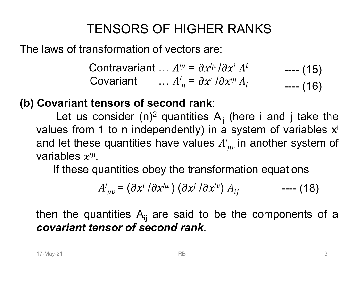# TENSORS OF HIGHER RANKS

The laws of transformation of vectors are:

TENSORS OF HIGHER RANKS<br>ansformation of vectors are:<br>Contravariant …  $A^{/\mu} = \frac{\partial x^{/\mu}}{\partial x^i} A^i$  —— (<br>Covariant …  $A^{/\mu} = \frac{\partial x^{i}}{\partial x^{/\mu}} A_i$  —— ( Contravariant ...  $A^{/\mu} = \partial x^{/\mu}/\partial x^{i} A^{i}$  ---- (15) Covariant  $\ldots A'_{\mu} = \partial x^{i} \partial x'^{\mu} A_{i}$  ---- (16  $--- (16)$ ---- (15)<br>---- (16)<br>i take the ---- (15)<br>---- (16)<br>---- (16)

### (b) Covariant tensors of second rank:

TENSORS OF HIGHER RANKS<br>
so transformation of vectors are:<br>
Contravariant ...  $A^{/\mu} = \frac{\partial x^{/\mu}}{\partial x^i} A^i$  ...<br>
Covariant ...  $A^{/\mu} = \frac{\partial x^{i}}{\partial x^{/\mu}} A_i$ <br>
ariant tensors of second rank:<br>
Let us consider (n)<sup>2</sup> quantities A<sub>ij</sub> F HIGHER RANKS<br>
vectors are:<br>
..  $A^{\prime \mu} = \partial x^{\prime \mu} / \partial x^i A^i$  ---- (15)<br>
..  $A^{\prime}_{\mu} = \partial x^i / \partial x^{\prime \mu} A_i$  ---- (16)<br>
cond rank:<br>
quantities A<sub>ij</sub> (here i and j take the<br>
endently) in a system of variables x<sup>i</sup><br>
ave values TENSORS OF HIGHER RANKS<br>
Elaws of transformation of vectors are:<br>
Contravariant ...  $A^{\mu} = \partial x^{\mu} / \partial x^{i} A^{i}$  ---- (15)<br>
Covariant ...  $A^{\prime}_{\mu} = \partial x^{i} / \partial x^{\mu} A_{i}$  ---- (16)<br>
Covariant tensors of second rank:<br>
Let us co and let these quantities have values  ${A'}_{\mu\nu}$ in another system of  $\mu$ and let these quantities have values  $A'_{\mu\nu}$  in another system of<br>variables  $x'^{\mu}$ .<br>If these quantities obey the transformation equations<br> $A'_{\mu\nu} = (\partial x^{i} / \partial x'^{\mu}) (\partial x^{j} / \partial x'^{\nu}) A_{ij}$  ---- (18)<br>then the quantities  $A_{ij}$ variables  $x^{/\mu}$ . Contravariant ...  $A^{\prime \mu} = \partial x^{\prime \mu} / \partial x^i A^i$  ....... (15)<br>Covariant ...  $A^{\prime \mu} = \partial x^i / \partial x^{\prime \mu} A_i$  ........ (16)<br>variant tensors of second rank:<br>Let us consider (n)<sup>2</sup> quantities  $A_{ij}$  (here i and j take the<br>ues from variant ...  $A' = \partial x^i / \partial x^j A$ <br>variant ...  $A'_{\mu} = \partial x^i / \partial x^{\mu} A_i$ <br>sors of second rank:<br>nsider (n)<sup>2</sup> quantities  $A_{ij}$  (here i ar<br>to n independently) in a system of<br>quantities have values  $A'_{\mu\nu}$  in anoth<br>antities obe  $A'_{\mu} = \partial x^{i} / \partial x'^{\mu} A_{i}$  ---- (13)<br> **nd rank:**<br>
uantities  $A_{ij}$  (here i and j take the<br>
dently) in a system of variables<br>
ve values  $A'_{\mu\nu}$  in another system<br>
the transformation equations<br>  $(\partial x^{j} / \partial x'^{\nu}) A_{ij}$  ----**Covariant tensors of second rank:**<br>
Let us consider (n)<sup>2</sup> quantities A<sub>ij</sub> (here i and j take the values from 1 to n independently) in a system of variables x<sup>i</sup> and let these quantities have values  $A'_{\mu\nu}$  in anothe Let us consider (n)<sup>2</sup> quantities  $A_{ij}$  (here i and j take th values from 1 to n independently) in a system of variables and let these quantities have values  $A'_{\mu\nu}$  in another system variables  $x^{\mu\nu}$ .<br>
If these qu ---- (13)<br>---- (16)<br>d j take the<br>variables x<sup>i</sup><br>er system of<br>ations<br>---- (18)<br>pnents of a

$$
A'_{\mu\nu} = (\partial x^{i} \, / \partial x^{\prime \mu}) \, (\partial x^{j} \, / \partial x^{\prime \nu}) \, A_{ij} \qquad \qquad \text{---} \, (18)
$$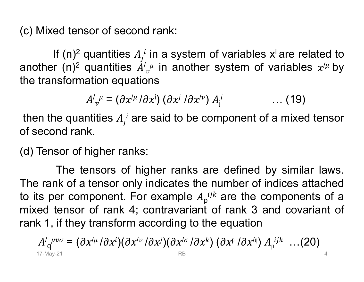(c) Mixed tensor of second rank:<br>If (n)<sup>2</sup> quantities  $A_j^i$  in a system of variables x<sup>i</sup> are r ed tensor of second rank:<br>If (n)<sup>2</sup> quantities  $A_j^i$  in a system d<br>in (n)<sup>2</sup> quantities  $A'_{\nu}^i$  in another<br>nsformation equations quantities  $A_j^{\;i}$  in a syster rank:<br>in a system of variables x<sup>i</sup> are related to<br><sup>µ</sup> in another system of variables  $x^{/\mu}$  by<br>ns (c) Mixed tensor of second rank:<br>
If (n)<sup>2</sup> quantities  $A_j^i$  in a system conther (n)<sup>2</sup> quantities  $A'_{\nu}^{\mu}$  in another<br>
the transformation equations<br>  $A'_{\mu} = (A x^{i\mu} / A x^{j}) (A x^{j} / A x^{j\nu})$ quantities  $A'{}_{v}{}^{\mu}$  in another sy:  $\mu$  in another syst ank:<br>a system of variables  $x^i$  are related to<br>in another system of variables  $x^{l\mu}$  by (c) Mixed tensor of second rank:<br>
If (n)<sup>2</sup> quantities  $A_j^i$  in a system of variable:<br>
another (n)<sup>2</sup> quantities  $A'_{\nu}^{\mu}$  in another system of<br>
the transformation equations<br>  $A'_{\nu}^{\mu} = (\partial x^{i\mu}/\partial x^{i}) (\partial x^{j}/\partial x^{i\nu}) A_j$ of second rank:<br>antities  $A_j^i$  in a system of variables<br>antities  $A'_{\nu}^{\mu}$  in another system of<br>on equations<br> $\mu = (\partial x^{i\mu}/\partial x^{i}) (\partial x^{j}/\partial x^{i\nu}) A_j^i$ <br>ies  $A_j^i$  are said to be component of rank:<br>
n a system of variables x<sup>i</sup> are rela<br>
in another system of variables<br>
s<br>
i) ( $\partial x^j / \partial x^{/v}$ )  $A_j^i$  .... (19)<br>
said to be component of a mixed variables x<sup>i</sup> are related to<br>ystem of variables  $x^{/\mu}$  by<br> $\dots$  (19)<br>ponent of a mixed tensor c) Mixed tensor of second rank:<br>
If (n)<sup>2</sup> quantities  $A_j^i$  in a system of<br>
another (n)<sup>2</sup> quantities  $A'_{\nu}^{\mu}$  in another s<br>
he transformation equations<br>  $A'_{\nu}^{\mu} = (\partial x'^{\mu}/\partial x^i) (\partial x^j/\partial x'^{\nu}) A'$ <br>
then the quantities cond rank:<br>
s  $A_j^i$  in a system of variables x<sup>i</sup> are related to<br>
s  $A'_{\nu}{}^{\mu}$  in another system of variables  $x^{\prime \mu}$  by<br>
uations<br>  $x^{\prime \mu}/\partial x^i$ )  $(\partial x^j/\partial x^{\prime \nu}) A_j^i$  ... (19)<br>
i are said to be component of a mixed (c) Mixed tensor of second rank:<br>
If (n)<sup>2</sup> quantities  $A_j^i$  in a system of<br>
another (n)<sup>2</sup> quantities  $A'_{\nu}^{\mu}$  in another sy<br>
the transformation equations<br>  $A'_{\nu}^{\mu} = (\partial x^{i\mu}/\partial x^{i}) (\partial x^{j}/\partial x^{i\nu}) A_j$ <br>
then the quant If (n)<sup>2</sup> quantities  $A_j^i$  in a system of variables<br>another (n)<sup>2</sup> quantities  $A'_{\nu}^i$  in another system of<br>the transformation equations<br> $A'_{\nu}^i = (\partial x^{i\mu}/\partial x^i) (\partial x^{j}/\partial x^{i\nu}) A_j^i$ <br>then the quantities  $A_j^i$  are said t

$$
A'_{\nu}{}^{\mu} = (\partial x'^{\mu} / \partial x^{i}) (\partial x^{j} / \partial x'^{\nu}) A_{j}^{i} \qquad \qquad \ldots (19)
$$

Tensor of higher ranks:<br>
The tensors of higher ranks are defined by similar laws.<br>
Example a rank of a tensor only indicates the number of indices attached<br>
ts per component. For example  $A_p^{ijk}$  are the components of a<br>
e The tensors of higher ranks are defined by similar laws.<br>The tensors of variables  $x^{i\mu}$  by a sformation equations<br> $A'_{\nu}{}^{\mu} = (\partial x^{\mu} \partial x^{i})(\partial x^{j} \partial x^{\nu}) A_{j}{}^{i}$  .... (19)<br>is quantities  $A_{j}{}^{i}$  are said to be compo another (n)<sup>2</sup> quantities  $A'_{\nu}{}^{\mu}$  in another system of variables  $x'^{\mu}$  by<br>the transformation equations<br> $A'_{\nu}{}^{\mu} = (\partial x'^{\mu}/\partial x^i) (\partial x^j/\partial x'^{\nu}) A_j^{\mu}$  .... (19)<br>then the quantities  $A_j{}^{\mu}$  are said to be component the transformation equations<br>  $A'_{\nu}{}^{\mu} = (\partial x'^{\mu}/\partial x^{i}) (\partial x^{j}/\partial x'^{\nu}) A_{j}^{i}$  .... (19<br>
then the quantities  $A_{j}^{i}$  are said to be component of a mixe<br>
of second rank.<br>
(d) Tensor of higher ranks:<br>
The tensors of higher  $A_j^i$  .... (19)<br>omponent of a mixed tensor<br>ire defined by similar laws.<br>number of indices attached<br> $a^{ijk}$  are the components of a<br>of rank 3 and covariant of<br>ne equation  $A'_{\nu}{}^{\mu} = (\partial x'^{\mu}/\partial x^i) (\partial x^j/\partial x'^{\nu}) A_j^i$  ... (19)<br>then the quantities  $A_j{}^i$  are said to be component of a mixed tensor<br>of second rank.<br>(d) Tensor of higher ranks:<br>The tensors of higher ranks are defined by similar la then the quantities  $A_j^i$  are said to be component of a mixed tensor<br>of second rank.<br>(d) Tensor of higher ranks:<br>The tensors of higher ranks are defined by similar laws.<br>The rank of a tensor only indicates the number of and rank.<br>
Sor of higher ranks:<br>
The tensors of higher ranks are onk of a tensor only indicates the nur<br>
Der component. For example  $A_p^{ijk}$  a<br>
tensor of rank 4; contravariant of i<br>
if they transform according to the e<br>  $\$ re defined by similar laws.<br>
number of indices attached<br>  $j^k$  are the components of a<br>
of rank 3 and covariant of<br>
ie equation<br>
)  $(\partial x^p / \partial x^{lq}) A_p^{ijk}$  ...(20)

$$
A'_{q}^{\mu\nu\sigma} = (\partial x'^{\mu}/\partial x^{i})(\partial x'^{\nu}/\partial x^{j})(\partial x'^{\sigma}/\partial x^{k}) (\partial x^{\mu}/\partial x'^{q}) A_{p}^{ijk} \dots (20) \qquad (7.17 \text{ May-}21)
$$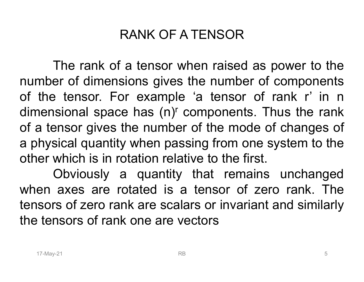## RANK OF A TENSOR

RANK OF A TENSOR<br>The rank of a tensor when raised as power to the<br>er of dimensions gives the number of components<br>a tensor. For example 'a tensor of rank r' in n RANK OF A TENSOR<br>The rank of a tensor when raised as power to the<br>number of dimensions gives the number of components<br>of the tensor. For example 'a tensor of rank r' in n<br>dimensional space has (n)<sup>r</sup> components. Thus the r RANK OF A TENSOR<br>The rank of a tensor when raised as power to the<br>number of dimensions gives the number of components<br>of the tensor. For example 'a tensor of rank r' in n<br>dimensional space has (n)' components. Thus the ran RANK OF A TENSOR<br>The rank of a tensor when raised as power to the<br>number of dimensions gives the number of components<br>of the tensor. For example 'a tensor of rank r' in n<br>dimensional space has (n)<sup>r</sup> components. Thus the r RANK OF A TENSOR<br>The rank of a tensor when raised as power to the<br>number of dimensions gives the number of components<br>of the tensor. For example 'a tensor of rank r' in n<br>dimensional space has  $(n)^r$  components. Thus the r a physical quantity when passing from one system to the The rank of a tensor when raised as power to the<br>number of dimensions gives the number of components<br>of the tensor. For example 'a tensor of rank r' in n<br>dimensional space has (n)<sup>r</sup> components. Thus the rank<br>of a tensor g The rank of a tensor when raised as power to the<br>er of dimensions gives the number of components<br>extensor. For example 'a tensor of rank r' in n<br>isional space has (n)<sup>r</sup> components. Thus the rank<br>ensor gives the number of number of dimensions gives the number of components<br>of the tensor. For example 'a tensor of rank r' in n<br>dimensional space has (n)<sup>r</sup> components. Thus the rank<br>of a tensor gives the number of the mode of changes of<br>a physi of the tensor. For example 'a tensor of rank r' in n<br>dimensional space has (n)<sup>r</sup> components. Thus the rank<br>of a tensor gives the number of the mode of changes of<br>a physical quantity when passing from one system to the<br>oth dimensional space has  $(n)^r$  components. Thus the race of a tensor gives the number of the mode of changes a physical quantity when passing from one system to to other which is in rotation relative to the first.<br>
Obviously

In thy sical quantity when passing from one system to the er which is in rotation relative to the first.<br>
Obviously a quantity that remains unchanged<br>
en axes are rotated is a tensor of zero rank. The<br>
sors of zero rank ar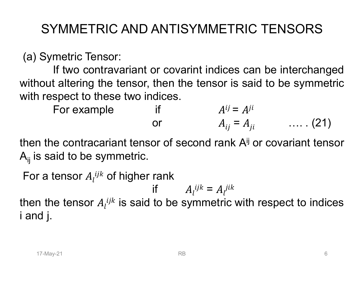# SYMMETRIC AND ANTISYMMETRIC TENSORS

SYMMETRIC AND ANTISYMMET<br>(a) Symetric Tensor:<br>If two contravariant or covarint indices<br>without altering the tensor, then the tensor is YMMETRIC AND ANTISYMMETRIC TENSORS<br>metric Tensor:<br>If two contravariant or covarint indices can be interchanged<br>t altering the tensor, then the tensor is said to be symmetric<br>spect to these two indices. SYMMETRIC AND ANTISYMMETRIC TENSORS<br>
(a) Symetric Tensor:<br>
If two contravariant or covarint indices can be interchanged<br>
without altering the tensor, then the tensor is said to be symmetric<br>
with respect to these two indi SYMMETRIC AND ANTISYMMETRIC TENS<br>
(a) Symetric Tensor:<br>
If two contravariant or covarint indices can be intervithout altering the tensor, then the tensor is said to be<br>
with respect to these two indices.<br>
For example<br>
or<br> FORET FIRIC AND ANTISYMMETRIC TENSORS<br>
metric Tensor:<br>
If two contravariant or covarint indices can be intercha<br>
t altering the tensor, then the tensor is said to be symm<br>
spect to these two indices.<br>
For example<br>
if  $A^{ij$ C TENSORS<br>an be interchanged<br>aid to be symmetric<br> $\begin{array}{lll} & ... \, . \, (21) \ & \text{or covariant tensor} \end{array}$ (a) Symetric Tensor:<br>
If two contravariant or covarint indices of<br>
without altering the tensor, then the tensor is s<br>
with respect to these two indices.<br>
For example<br>
if  $A^{ij} = A$ <br>
or  $A_{ij} = A$ <br>
then the contracariant tenso

For example if 
$$
A^{ij} = A^{ji}
$$
  
or  $A_{ij} = A_{ji}$  .... (21)

then the contracariant tensor of second rank A<sup>jj</sup> or covariant tensor

In the contracariant tensor of second rank  $A^{ij}$  or covariant tensor<br>
s said to be symmetric.<br>
In a tensor  $A_i^{ijk}$  of higher rank<br>
if  $A_i^{ijk} = A_i^{jik}$ <br>
In the tensor  $A_i^{ijk}$  is said to be symmetric with respect to indices<br> For a tensor and the tensor<br>
For example tensor, then the tensor is said to be sy<br>
with respect to these two indices.<br>
For example if  $A^{ij} = A^{ji}$ <br>
or  $A_{ij} = A_{ji}$  ....<br>
hen the contracariant tensor of second rank  $A^{ij}$  or if  $A_l^{ijk} = A_l^{jik}$ <br>then the tensor  $A_l^{ijk}$  is said to be symmetric with respect to indices with respect to these two indices.<br>
For example if  $A^{ij} = A^{ji}$ <br>
or  $A_{ij} = A_{ji}$  ..... (21)<br>
then the contracariant tensor of second rank  $A^{ij}$  or covariant tensor<br>  $A_{ij}$  is said to be symmetric.<br>
For a tensor  $A_i^{ijk}$  of For example if<br>
for example if<br>
or<br>
then the contracariant tensor of seco<br>  $A_{ij}$  is said to be symmetric.<br>
For a tensor  $A_l^{ijk}$  of higher rank<br>
if  $A_l^{i}$ <br>
then the tensor  $A_l^{ijk}$  is said to be syn<br>
i and j.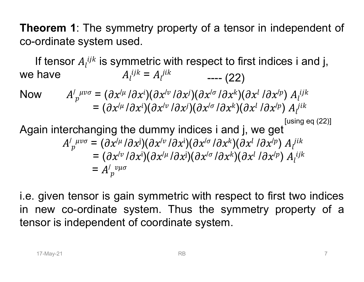Theorem 1: The symmetry property of a tensor in independent of<br>co-ordinate system used. **Theorem 1:** The symmetry property of a tensor in co-ordinate system used.<br>If tensor  $A_l^{ijk}$  is symmetric with respect to first in ependent of<br>
es i and j,<br>  $A_l^{ijk}$ <br>
[using eq (22)]<br>  $A_l^{jik}$ f a tensor in independent of<br>ect to first indices i and j,<br>---- (22)<br> $\int_{\mathcal{C}}^{\mathcal{U}\sigma}/\partial x^k)(\partial x^l/\partial x^{(p)})\,A_l^{ijk}$ 

**eorem 1:** The symmetry property of a tensor in independent of ordinate system used.<br>If tensor  $A_i^{ijk}$  is symmetric with respect to first indices i and j,<br>have  $A_i^{ijk} = A_i^{jik}$  ---- (22) we have <sup>=</sup> **Theorem 1**: The symmetry property of a tensor in independent of<br>
co-ordinate system used.<br>
If tensor  $A_i^{ijk}$  is symmetric with respect to first indices i and j,<br>
we have  $A_i^{ijk} = A_i^{jik}$  ---- (22)<br>
Now  $A'_p{}^{\mu\nu\sigma} = (\partial x^{\mu$ 

Now

**orem 1**: The symmetry property of a tensor in independent of  
rdinate system used.  
tensor 
$$
A_i^{ijk}
$$
 is symmetric with respect to first indices i and j,  
have  $A_i^{ijk} = A_i^{jik}$  ----(22)  

$$
A'_p{}^{\mu\nu\sigma} = (\partial x^{i\mu}/\partial x^{i})(\partial x^{i\nu}/\partial x^{j})(\partial x^{i\sigma}/\partial x^{k})(\partial x^{l}/\partial x^{l\nu}) A_i^{ijk}
$$

$$
= (\partial x^{i\mu}/\partial x^{i})(\partial x^{i\nu}/\partial x^{j})(\partial x^{l\sigma}/\partial x^{k})(\partial x^{l}/\partial x^{l\nu}) A_i^{jik}
$$
[using eq (22)]  
in interchanging the dummy indices i and j, we get

$$
[using eq (22)]
$$

ate system used.

\nsor 
$$
A_i^{ijk}
$$
 is symmetric with respect to first indices i and j,  $A_i^{ijk} = A_i^{jik}$   $\qquad \qquad --- (22)$ 

\n $A'_{p}^{\mu\nu\sigma} = (\partial x^{i\mu}/\partial x^{i})(\partial x^{j\nu}/\partial x^{j})(\partial x^{i\sigma}/\partial x^{k})(\partial x^{l}/\partial x^{j\mu}) A_i^{ijk}$ 

\n $= (\partial x^{i\mu}/\partial x^{i})(\partial x^{i\nu}/\partial x^{j})(\partial x^{i\sigma}/\partial x^{k})(\partial x^{l}/\partial x^{j\mu}) A_i^{jik}$ 

\nferchanging the dummy indices i and j, we get

\n $A'_{p}^{\mu\nu\sigma} = (\partial x^{i\mu}/\partial x^{j})(\partial x^{i\nu}/\partial x^{j})(\partial x^{i\sigma}/\partial x^{k})(\partial x^{l}/\partial x^{j\mu}) A_i^{jik}$ 

\n $= (\partial x^{i\nu}/\partial x^{j})(\partial x^{i\mu}/\partial x^{j})(\partial x^{i\sigma}/\partial x^{k})(\partial x^{l}/\partial x^{j\mu}) A_i^{ijk}$ 

\n $= A'_{p}^{\nu\mu\sigma}$ 

 $A'_{p}{}^{\mu\nu\sigma} = (\partial x'^{\mu}/\partial x^{j})(\partial x'^{\nu}/\partial x^{j})(\partial x'^{\sigma}/\partial x^{k})(\partial x^{l}/\partial x'^{p}) A_{l}{}^{ik}$ <br>  $= (\partial x'^{\nu}/\partial x^{j})(\partial x'^{\mu}/\partial x^{j})(\partial x'^{\sigma}/\partial x^{k})(\partial x^{l}/\partial x'^{p}) A_{l}{}^{jik}$ <br>  $= A'_{p}{}^{\nu\mu\sigma}$ <br>
given tensor is gain symmetric with respect to first two Now  $A'_{p}{}^{\mu\nu\sigma} = (\partial x'^{\mu}/\partial x^{i})(\partial x'^{\nu}/\partial x^{j})(\partial x'^{\sigma}/\partial x^{k})(\partial x^{l}/\partial x'^{p}) A_{l}{}^{ijk}$ <br>  $= (\partial x'^{\mu}/\partial x^{i})(\partial x'^{\nu}/\partial x^{j})(\partial x'^{\sigma}/\partial x^{k})(\partial x^{l}/\partial x'^{p}) A_{l}{}^{jik}$ <br>
Again interchanging the dummy indices i and j, we get<br>  $A'_{p}{}^{\mu\nu\sigma} = (\$ Now  $A'_{p}{}^{\mu\nu\sigma} = (\partial x'^{\mu}/\partial x^{\nu})(\partial x'^{\nu}/\partial x')(\partial x'^{\sigma}/\partial x'^{\kappa})(\partial x'^{\ell}/\partial x'^{\rho}) A_{l}{}^{\nu k}$ <br>  $= (\partial x'^{\mu}/\partial x^{\iota})(\partial x'^{\nu}/\partial x^{\jota})(\partial x'^{\sigma}/\partial x^{\kappa})(\partial x^{\lota}/\partial x'^{\rho}) A_{l}{}^{\mu k}$ <br>
Again interchanging the dummy indices i and j, we get<br>  $A'_{$ =  $(\partial x^{/\mu} / \partial x^{\nu}) (\partial x^{/\nu} / \partial x^{\nu}) (\partial x^{/\alpha} / \partial x^{\mu}) (\partial x^{/\mu} / \partial x^{/\mu}) A_{\mu}^{\mu \nu}$ <br>
Again interchanging the dummy indices i and j, we get<br>  $A_{\mu}^{\mu \nu \sigma} = (\partial x^{/\mu} / \partial x^{\mu}) (\partial x^{/\nu} / \partial x^{\nu}) (\partial x^{/\alpha} / \partial x^{\nu} / \partial x^{/\mu}) A_{\mu}^{\mu \nu}$ <br>
=  $(\partial x^$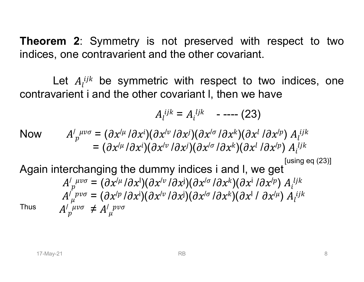Theorem 2: Symmetry is not preserved with respect to two<br>indices, one contravarient and the other covariant. **Theorem 2:** Symmetry is not preserved with respect to two indices, one contravarient and the other covariant.<br>Let  $A_i^{ijk}$  be symmetric with respect to two indices, one

**EXECUTE:** 18 and the other covariant.<br>
Let  $A_i^{ijk}$  be symmetric with respect to two indices, one varient i and the other covariant I, then we have **Theorem 2:** Symmetry is not preserved with respect to two indices, one contravarient and the other covariant.<br>Let  $A_i^{ijk}$  be symmetric with respect to two indices, one contravarient i and the other covariant l, then we h eserved with respect to two<br>ther covariant.<br>respect to two indices, one<br>nt I, then we have<br> $\frac{d^{jk}}{dt^{jk}}$  ----- (23)<br>( $\frac{\partial x^{(\sigma)} \partial x^k}{\partial x^{(\sigma)} \partial x^{(\sigma)} \partial x^{(\sigma)} d x^{(\sigma)} d x^{(\sigma)} d x^{(\sigma)} d x^{(\sigma)} d x^{(\sigma)} d x^{(\sigma)} d x^{(\sigma)} d x^{(\sigma)} d x^{(\sigma)} d x^{(\sigma)} d x^{(\sigma)}$  $\begin{align} \n\text{indices, one} \n\text{e} \n\text{y} \n\begin{align*}\n\text{y} & A_l^{ijk} \\
\text{y} & A_l^{ijk} \\
\text{g} & [\text{using eq (23)}] \\
\text{y} & A_l^{ijk} \\
\text{y} & A_l^{ijk} \\
\text{y} & B_l^{ijk} \\
\text{y} & B_l^{ijk} \\
\text{y} & B_l^{ijk} \\
\text{y} & B_l^{ijk} \\
\text{y} & B_l^{ijk} \\
\text{y} & B_l^{ijk} \\
\text{y} & B_l^{ijk} \\
\text{y} & B_l$ 

$$
A_l^{ijk} = A_l^{ijk} \quad \text{---} \quad (23)
$$

**Theorem 2**: Symmetry is not preserved with respect to two  
indices, one contravarient and the other covariant.  
\nLet 
$$
A_l^{ijk}
$$
 be symmetric with respect to two indices, one  
\ncontravarient i and the other covariant I, then we have  
\n
$$
A_l^{ijk} = A_l^{ijk} \quad \text{---}(23)
$$
\nNow\n
$$
A'_{p}^{\mu\nu\sigma} = (\partial x^{i\mu}/\partial x^{i})(\partial x^{j\nu}/\partial x^{j})(\partial x^{i\sigma}/\partial x^{k})(\partial x^{l}/\partial x^{j\mu}) A_l^{ijk}
$$
\n
$$
= (\partial x^{i\mu}/\partial x^{i})(\partial x^{j\nu}/\partial x^{j})(\partial x^{i\sigma}/\partial x^{k})(\partial x^{l}/\partial x^{j\mu}) A_l^{ijk}
$$
\nAgain interchanging the dummy indices i and I, we get  
\n
$$
A'_{p}^{\mu\nu\sigma} = (\partial x^{i\mu}/\partial x^{i})(\partial x^{j\nu}/\partial x^{j})(\partial x^{j\sigma}/\partial x^{k})(\partial x^{l}/\partial x^{j\mu}) A_l^{ijk}
$$
\n
$$
A''_{p}^{\mu\nu\sigma} = (\partial x^{i\mu}/\partial x^{i})(\partial x^{j\nu}/\partial x^{j})(\partial x^{j\sigma}/\partial x^{k})(\partial x^{l}/\partial x^{l}\mu) A_l^{ijk}
$$

Let 
$$
A_i^{ijk}
$$
 be symmetric with respect to two indices, one  
travarient i and the other covariant I, then we have  

$$
A_i^{ijk} = A_i^{ijk} \quad --- (23)
$$

$$
M'_{p}^{\mu\nu\sigma} = (\partial x^{i\mu}/\partial x^{i})(\partial x^{i\nu}/\partial x^{j})(\partial x^{i\sigma}/\partial x^{k})(\partial x^{l}/\partial x^{j\sigma}/\partial x^{j\sigma}/\partial x^{k\sigma})
$$

$$
= (\partial x^{i\mu}/\partial x^{i})(\partial x^{i\sigma}/\partial x^{j})(\partial x^{i\sigma}/\partial x^{k})(\partial x^{l}/\partial x^{j\sigma}/\partial x^{j\sigma}/\partial x^{k\sigma})
$$

$$
= (\partial x^{i\mu}/\partial x^{j})(\partial x^{i\nu}/\partial x^{j})(\partial x^{i\sigma}/\partial x^{k})(\partial x^{i}/\partial x^{j\sigma}/\partial x^{j\sigma}/\partial x^{l\sigma}/\partial x^{l\sigma}/\partial x^{l\sigma}/\partial x^{l\sigma}/\partial x^{l\sigma}/\partial x^{l\sigma}/\partial x^{l\sigma}/\partial x^{l\sigma}/\partial x^{l\sigma}/\partial x^{l\sigma}/\partial x^{l\sigma}/\partial x^{l\sigma}/\partial x^{l\sigma}/\partial x^{l\sigma}/\partial x^{l\sigma}/\partial x^{l\sigma}/\partial x^{l\sigma}/\partial x^{l\sigma}/\partial x^{l\sigma}/\partial x^{l\sigma}/\partial x^{l\sigma}/\partial x^{l\sigma}/\partial x^{l\sigma}/\partial x^{l\sigma}/\partial x^{l\sigma}/\partial x^{l\sigma}/\partial x^{l\sigma}/\partial x^{l\sigma}/\partial x^{l\sigma}/\partial x^{l\sigma}/\partial x^{l\sigma}/\partial x^{l\sigma}/\partial x^{l\sigma}/\partial x^{l\sigma}/\partial x^{l\sigma}/\partial x^{l\sigma}/\partial x^{l\sigma}/\partial x^{l\sigma}/\partial x^{l\sigma}/\partial x^{l\sigma}/\partial x^{l\sigma}/\partial x^{l\sigma}/\partial x^{l\sigma}/\partial x^{l\sigma}/\partial x^{l\sigma}/\partial x^{l\sigma}/\partial x^{l\sigma}/\partial x^{l\sigma}/\partial x^{l\sigma}/\partial x^{l\sigma}/\partial x^{l\sigma}/\partial x^{l\sigma}/\partial x^{l\sigma}/\partial x^{l\sigma}/\partial x^{l\sigma}/\partial x^{l\sigma}/\partial x^{l\sigma}/\
$$

**Thus**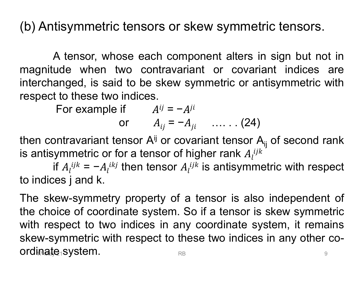(b) Antisymmetric tensors or skew symmetric tensors.<br>A tensor, whose each component alters in sign but not in

tisymmetric tensors or skew symmetric tensors.<br>A tensor, whose each component alters in sign but not in<br>ude when two contravariant or covariant indices are<br>anged, is said to be skew symmetric or antisymmetric with (b) Antisymmetric tensors or skew symmetric tensors.<br>A tensor, whose each component alters in sign but not in<br>magnitude when two contravariant or covariant indices are<br>interchanged, is said to be skew symmetric or antisymm (b) Antisymmetric tensors or skew symmetric tensors.<br>A tensor, whose each component alters in sign but not in<br>magnitude when two contravariant or covariant indices are<br>interchanged, is said to be skew symmetric or antisym (b) Antisymmetric tensors or skew symmetric<br>
A tensor, whose each component alters in s<br>
magnitude when two contravariant or covarian<br>
interchanged, is said to be skew symmetric or antis<br>
respect to these two indices.<br>
Fo tisymmetric tensors or skew symmetric tensors.<br>
A tensor, whose each component alters in sign but no<br>
ude when two contravariant or covariant indices<br>
anged, is said to be skew symmetric or antisymmetric v<br>
to these two i or skew symmetric tensors.<br>
component alters in sign but no<br>
avariant or covariant indices<br>
ew symmetric or antisymmetric v<br>
=  $-A^{ji}$  ....... (24)<br>
r covariant tensor A<sub>ij</sub> of second rate of bigher rank 4 ijk kew symmetric tensors.<br>
sonent alters in sign but not in<br>
ant or covariant indices are<br>
ymmetric or antisymmetric with<br>  $\begin{array}{ccc}\n\mu_i & \ldots & (24) \\
\end{array}$ <br>
ariant tensor A<sub>ij</sub> of second rank<br>
igher rank 4 ijk A tensor, whose each component alters in sign but not in<br>magnitude when two contravariant or covariant indices are<br>interchanged, is said to be skew symmetric or antisymmetric with<br>respect to these two indices.<br>For example magnitude when two contravariant or covertifulned interchanged, is said to be skew symmetric or respect to these two indices.<br>
For example if  $A^{ij} = -A^{ji}$  or  $A_{ij} = -A_{ji}$  ......(2)<br>
then contravariant tensor  $A^{ij}$  or cov

or  $A_{ii} = -A_{ii}$  ...... (24)

then contravariant tensor  $A^{ij}$  or covariant tensor  $A_{ij}$  of second rank  $l^2$  $ijk$ 

In contravariant tensor  $A^{ij}$  or covariant tensor  $A_{ij}$  of second rank<br>ntisymmetric or for a tensor of higher rank  $A_i^{ijk}$ <br>if  $A_i^{ijk} = -A_i^{ikj}$  then tensor  $A_i^{ijk}$  is antisymmetric with respect<br>ndices j and k.<br>e skew-symm interchanged, is said to be skew symmetric or antisymmetric with<br>respect to these two indices.<br>For example if  $A^{ij} = -A^{ji}$ <br>or  $A_{ij} = -A_{ji}$  ....... (24)<br>then contravariant tensor  $A^{ij}$  or covariant tensor  $A_{ij}$  of second respect to these two indices.<br>
For example if  $A^{ij} = -A^{ji}$ <br>
or  $A_{ij} = -A_{ji}$  ......(24)<br>
then contravariant tensor  $A^{ij}$  or covariant tensor  $A_{ij}$  of second rank<br>
is antisymmetric or for a tensor of higher rank  $A_i^{ijk}$ <br> For example if  $A^y = -A^n$ <br>
or  $A_{ij} = -A_{ji}$  ....... (24)<br>
then contravariant tensor  $A^{\dagger}$  or covariant tensor  $A_{\dagger}$  of second rank<br>
is antisymmetric or for a tensor of higher rank  $A_i^{ijk}$ <br>
if  $A_i^{ijk} = -A_i^{ikj}$  then tens skew-symmetric with respect to these two indices in any otherapy setting the respect to indices j and k.<br>The skew-symmetry property of a tensor is also independent of the choice of coordinate system. So if a tensor is ske then contravariant tensor A<sup>ij</sup> or covariar<br>is antisymmetric or for a tensor of highe<br>if  $A_l^{ijk} = -A_l^{ikj}$  then tensor  $A_l^{ijk}$  is<br>to indices j and k.<br>The skew-symmetry property of a tens<br>the choice of coordinate system. So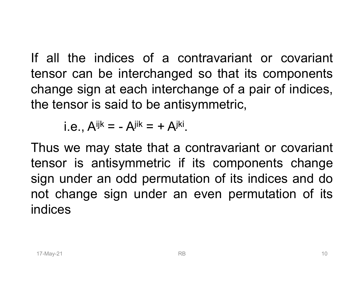If all the indices of a contravariant or covariant<br>tensor can be interchanged so that its components<br>change sign at each interchange of a pair of indices If all the indices of a contravariant or covariant<br>tensor can be interchanged so that its components<br>change sign at each interchange of a pair of indices,<br>the tensor is said to be antisymmetric If all the indices of a contravariant or covariant<br>tensor can be interchanged so that its components<br>change sign at each interchange of a pair of indices,<br>the tensor is said to be antisymmetric, If all the indices of a contravariant or covari<br>tensor can be interchanged so that its compone<br>change sign at each interchange of a pair of indic<br>the tensor is said to be antisymmetric,<br>i.e.,  $A^{ijk} = -A^{jik} = + A^{jki}$ . If all the indices of a contravariant or covariant<br>tensor can be interchanged so that its components<br>change sign at each interchange of a pair of indices,<br>the tensor is said to be antisymmetric,<br>i.e.,  $A^{ijk} = -A^{jik} = + A^{jki}$ If all the indices of a contravariant or covariant<br>tensor can be interchanged so that its components<br>change sign at each interchange of a pair of indices,<br>the tensor is said to be antisymmetric,<br>i.e.,  $A^{ijk} = -A^{jik} = + A^{jki}$ 

Thus we may state that a contravariant or covariant<br>
ensor is antisymmetric if its components change<br>
ign under an odd permutation of its indices and do<br>
ot change sign under an even permutation of its<br>
ndices<br>  $\frac{1}{2}$ sign at each interchanged so that its components<br>change sign at each interchange of a pair of indices,<br>the tensor is said to be antisymmetric,<br>i.e.,  $A^{ijk} = -A^{jik} = + A^{jki}$ .<br>Thus we may state that a contravariant or covarian change sign at each interchange of a pair of indices,<br>the tensor is said to be antisymmetric,<br>i.e.,  $A^{ijk} = -A^{jik} = +A^{jki}$ .<br>Thus we may state that a contravariant or covariant<br>tensor is antisymmetric if its components chang indices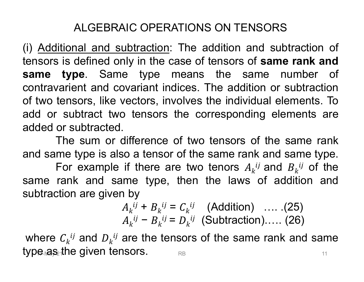## ALGEBRAIC OPERATIONS ON TENSORS

ALGEBRAIC OPERATIONS ON TENSORS<br>(i) Additional and subtraction: The addition and subtraction of<br>tensors is defined only in the case of tensors of **same rank and**<br>**same type**. Same type means the same number of ALGEBRAIC OPERATIONS ON TENSORS<br>(i) Additional and subtraction: The addition and subtraction of<br>tensors is defined only in the case of tensors of **same rank and**<br>**same type**. Same type means the same number of<br>contravarien ALGEBRAIC OPERATIONS ON TENSORS<br>(i) Additional and subtraction: The addition and subtraction of<br>tensors is defined only in the case of tensors of **same rank and**<br>**same type**. Same type means the same number of<br>contravarien ALGEBRAIC OPERATIONS ON TENSORS<br>(i) <u>Additional and subtraction</u>: The addition and subtraction of<br>tensors is defined only in the case of tensors of **same rank and**<br>**same type**. Same type means the same number of<br>contravari ALGEBRAIC OPERATIONS ON TENSORS<br>(i) <u>Additional and subtraction</u>: The addition and subtraction of<br>tensors is defined only in the case of tensors of **same rank and**<br>**same type**. Same type means the same number of<br>contravari ALGEBRAIC OPERATIONS ON TENSORS<br>(i) <u>Additional and subtraction</u>: The addition and subtraction of<br>tensors is defined only in the case of tensors of **same rank and**<br>**same type**. Same type means the same number of<br>contravari ALGEBRAIC OPERATIONS C<br>
(i) <u>Additional and subtraction</u>: The add<br>
tensors is defined only in the case of ter<br> **same type**. Same type means the<br>
contravarient and covariant indices. The<br>
of two tensors, like vectors, invol (i) <u>Additional and subtraction</u>: The addition and subtraction of tensors is defined only in the case of tensors of **same rank and same type**. Same type means the same number of contravarient and covariant indices. The ad For example if there are two tenors of same rank and type. Same type means the same number of varient and covariant indices. The addition or subtraction tensors, like vectors, involves the individual elements. To subtract ank and<br>nber of<br>otraction<br>ents. To<br>me rank<br>me type.<br>ij of the<br>ion and same type. Same type means the same number of<br>contravarient and covariant indices. The addition or subtraction<br>of two tensors, like vectors, involves the individual elements. To<br>add or subtracted.<br>added or subtracted.<br>The same type. Same type means the same<br>contravarient and covariant indices. The addition or<br>of two tensors, like vectors, involves the individual  $\epsilon$ <br>added or subtracted.<br>The sum or difference of two tensors of the<br>and same The addition of subtraction<br>
res the individual elements. To<br>
corresponding elements are<br>
wo tensors of the same rank<br>
the same rank and  $B_k^{ij}$  of the<br>
en the laws of addition and<br>
ij (Addition) ......(25)<br>
ij (Subtracti

The sum or difference of two tensors of the same rank

The sum or difference of two tensors of the same rank<br>d same type is also a tensor of the same rank and same type.<br>For example if there are two tenors  $A_k^{ij}$  and  $B_k^{ij}$  of the<br>me rank and same type, then the laws of add For example if there are two tenors  $A_k^{ij}$  and  $B_k^{ij}$  of the corresponding elements are<br>wo tensors of the same rank<br>the same rank and same type.<br>wo tenors  $A_k^{ij}$  and  $B_k^{ij}$  of the<br>en the laws of addition and<br> $ij$  (Addition) ..... (25)<br> $ij$  (Subtraction)..... (26)<br>s of the same rank are difference of two tensors of the same rank<br>also a tensor of the same rank and same type.<br>e if there are two tenors  $A_k^{ij}$  and  $B_k^{ij}$  of the<br>same type, then the laws of addition and<br>en by<br> $A_k^{ij} + B_k^{ij} = C_k^{ij}$  (Additio The sum or difference of two tensors of<br>and same type is also a tensor of the same rank<br>For example if there are two tenors  $A_k^{ij}$ <br>same rank and same type, then the laws<br>subtraction are given by<br> $A_k^{ij} + B_k^{ij} = C_k^{ij}$  (Addi

$$
A_k^{ij} + B_k^{ij} = C_k^{ij}
$$
 (Addition) .... (25)  

$$
A_k^{ij} - B_k^{ij} = D_k^{ij}
$$
 (Subtraction).... (26)

where  ${{C}_{k}}^{ij}$  and  ${{D}_{k}}^{ij}$  are the tensor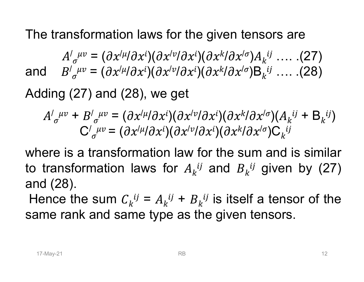The transformation laws for the given tensors are<br>  $A'_{\sigma}{}^{\mu\nu} = (\partial x'^{\mu}/\partial x^i)(\partial x'^{\nu}/\partial x^i)(\partial x^k/\partial x'^{\sigma})A_k{}^{ij}$  .... (27) nsformation laws for the given te<br>  $\int_{\sigma} \mu v = (\partial x^{/\mu}/\partial x^{i})(\partial x^{/\nu}/\partial x^{i})(\partial x^{k}/\partial x^{/\sigma})$ <br>  $\int_{\sigma} \mu v = (\partial x^{/\mu}/\partial x^{i})(\partial x^{/\nu}/\partial x^{i})(\partial x^{k}/\partial x^{/\sigma})$  $(\partial x^i) (\partial x^{/\nu}/\partial x^i) (\partial x^k/\partial x^{/\sigma}) A_k$ tensors are<br><sup>/σ</sup>) $A_k$ <sup>ij</sup> …. .(27)<br><sup>/σ</sup>)B<sub>k</sub><sup>ij</sup> …. .(28) The transformation laws for the given te<br>  $A'_{\sigma}{}^{\mu\nu} = (\partial x^{/\mu}/\partial x^{i})(\partial x^{/\nu}/\partial x^{i})(\partial x^{k}/\partial x^{/\sigma})$ <br>
and  $B'_{\sigma}{}^{\mu\nu} = (\partial x^{/\mu}/\partial x^{i})(\partial x^{/\nu}/\partial x^{i})(\partial x^{k}/\partial x^{/\sigma})$ <br>
Adding (27) and (28), we get  $(\partial x^i) (\partial x^{/\nu}/\partial x^i) (\partial x^k/\partial x^{/\sigma}) \mathsf{B}_k$ tensors are<br><sup>/ $\sigma$ </sup>) $A_k$ <sup>ij</sup> …. .(27)<br><sup>/ $\sigma$ </sup>)B<sub>k</sub><sup>ij</sup> …. .(28) The transformation laws for the given tensors are<br>  $A'_{\sigma}{}^{\mu\nu} = (\partial x'^{\mu}/\partial x^i)(\partial x'^{\nu}/\partial x^i)(\partial x^k/\partial x'^{\sigma})A_k{}^{ij}$  .... (27)<br>
and  $B'_{\sigma}{}^{\mu\nu} = (\partial x'^{\mu}/\partial x^i)(\partial x'^{\nu}/\partial x^i)(\partial x^k/\partial x'^{\sigma})B_k{}^{ij}$  .... (28)<br>
Adding (27) and (28),

e transformation laws for the given tensors are  
\n
$$
A'_{\sigma}{}^{\mu\nu} = (\partial x^{\prime\mu}/\partial x^i)(\partial x^{\prime\nu}/\partial x^i)(\partial x^k/\partial x^{\prime\sigma})A_k{}^{\nu} \dots (27)
$$
\n
$$
B'_{\sigma}{}^{\mu\nu} = (\partial x^{\prime\mu}/\partial x^i)(\partial x^{\prime\nu}/\partial x^i)(\partial x^k/\partial x^{\prime\sigma})B_k{}^{\nu} \dots (28)
$$
\nding (27) and (28), we get  
\n
$$
A'_{\sigma}{}^{\mu\nu} + B'_{\sigma}{}^{\mu\nu} = (\partial x^{\prime\mu}/\partial x^i)(\partial x^{\prime\nu}/\partial x^i)(\partial x^k/\partial x^{\prime\sigma})(A_k{}^{\nu} + B_k{}^{\nu}i)
$$
\n
$$
C'_{\sigma}{}^{\mu\nu} = (\partial x^{\prime\mu}/\partial x^i)(\partial x^{\prime\nu}/\partial x^i)(\partial x^k/\partial x^{\prime\sigma})C_k{}^{\nu}i
$$
\nere is a transformation law for the sum and is similar

there is a transformation law for the sum and is similar transformation laws for  $A_k^{ij}$  and  $B_k^{ij}$  given by (27) and (28).<br>
Hence the sum  $C_k^{ij} = A_k^{ij} + B_k^{ij}$  is itself a tensor of the sume rank and same type as the give and  $B'_{\sigma}{}^{\mu\nu} = (\partial x'^{\mu}/\partial x^i)(\partial x'^{\nu}/\partial x^i)(\partial x^k/\partial x'^{\sigma})A_k{}^{\mu}$  .... (27)<br>and  $B'_{\sigma}{}^{\mu\nu} = (\partial x'^{\mu}/\partial x^i)(\partial x'^{\nu}/\partial x^i)(\partial x^k/\partial x'^{\sigma})B_k{}^{\mu}$  .... (28)<br>Adding (27) and (28), we get<br> $A'_{\sigma}{}^{\mu\nu} + B'_{\sigma}{}^{\mu\nu} = (\partial x'^{\mu}/\partial x^$  $A'_{\sigma}{}^{\mu\nu} = (\partial x'^{\mu}/\partial x^i)(\partial x'^{\nu}/\partial x^i)(\partial x^k/\partial x'^{\sigma})A_k{}^{\{j\}} \dots (27)$ <br>and  $B'_{\sigma}{}^{\mu\nu} = (\partial x'^{\mu}/\partial x^i)(\partial x'^{\nu}/\partial x^i)(\partial x^k/\partial x'^{\sigma})B_k{}^{\{j\}} \dots (28)$ <br>Adding (27) and (28), we get<br> $A'_{\sigma}{}^{\mu\nu} + B'_{\sigma}{}^{\mu\nu} = (\partial x'^{\mu}/\partial x^i)(\partial x'^{\nu$ and  $B'_{\sigma}{}^{\mu\nu} = (\partial x^{/\mu}/\partial x^{i})(\partial x^{/\nu}/\partial x^{i})$ <br>
Adding (27) and (28), we get<br>  $A'_{\sigma}{}^{\mu\nu} + B'_{\sigma}{}^{\mu\nu} = (\partial x^{/\mu}/\partial x^{i})(\partial x^{/\nu}/\partial x^{/\nu})$ <br>  $C'_{\sigma}{}^{\mu\nu} = (\partial x^{/\mu}/\partial x^{i})(\partial x^{/\nu}/\partial x^{/\nu})$ <br>
where is a transformation law f<br>
to tra Adding (27) and (28), we get<br>  $A'_{\sigma}{}^{\mu\nu} + B'_{\sigma}{}^{\mu\nu} = (\partial x'^{\mu}/\partial x^i)(\partial x'^{\nu}/\partial x^i)(\partial x^{k}/\partial x'^{\sigma})(A_k{}^{ij} + B_k{}^{ij})$ <br>  $C'_{\sigma}{}^{\mu\nu} = (\partial x'^{\mu}/\partial x^i)(\partial x'^{\nu}/\partial x^i)(\partial x^{k}/\partial x'^{\sigma})C_k{}^{ij}$ <br>
where is a transformation law for the sum an  $A'_{\sigma}{}^{\mu\nu} + B'_{\sigma}{}^{\mu\nu} = (\partial x'^{\mu}/\partial x^i)(\partial x'^{\nu}/\partial x^i)(\partial x^{k}/\partial x'^{\sigma})(A_k{}^{ij} + B_k{}^{ij})$ <br>  $C'_{\sigma}{}^{\mu\nu} = (\partial x'^{\mu}/\partial x^i)(\partial x'^{\nu}/\partial x^i)(\partial x^{k}/\partial x'^{\sigma})C_k{}^{ij}$ <br>
where is a transformation law for the sum and is similar<br>
to transformatio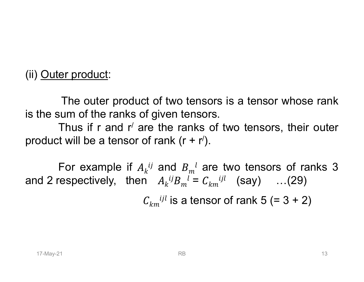(ii) <u>Outer product</u>:<br>The outer product of two tensors of product:<br>The outer product of two tensors is a tensor whose rank<br>um of the ranks of given tensors.<br>Thus if r and r' are the ranks of two tensors, their outer (ii) <u>Outer product</u>:<br>
The outer product of two tensors is a tensor whose ranks the sum of the ranks of given tensors.<br>
Thus if r and r' are the ranks of two tensors, their outer product will be a tensor of rank  $(r + r')$ . er product:<br>The outer product of two tensors is a tensor whose rank<br>tum of the ranks of given tensors.<br>Thus if r and r' are the ranks of two tensors, their outer<br>t will be a tensor of rank (r + r').

product will be a tensor of rank (r + r /).

boduct will be a tensor of rank  $(r + r')$ .<br>
For example if  $A_k^{ij}$  and  $B_m^{jl}$  are two tensors of ranks 3<br>
d 2 respectively, then  $A_k^{ij}B_m^{jl} = C_{km}^{ijl}$  (say) ...(29)<br>  $C_{km}^{ijl}$  is a tensor of rank 5 (= 3 + 2)<br>
RB er product:<br>
The outer product of two tensors is a tensor<br>
sum of the ranks of given tensors.<br>
Thus if r and r' are the ranks of two tensors<br>
t will be a tensor of rank  $(r + r')$ .<br>
For example if  $A_k^{ij}$  and  $B_m^{l}$  are two For example if  $A_k^{ij}$  and  $B_m^l$  are two tensors of ranks 3 msors is a tensor whose rank<br>sors<br>ks of two tensors, their outer<br>r').<br> $l$  are two tensors of ranks 3<br>=  $C_{km}$ <sup>ijl</sup> (say) ...(29) (ii) <u>Outer product</u>:<br>
The outer product of two tensors is a tensor<br>
is the sum of the ranks of given tensors.<br>
Thus if r and r' are the ranks of two tensors<br>
product will be a tensor of rank  $(r + r')$ .<br>
For example if  $A_k^{ij$  $i j R$   $l = \int$ ,  $i j l$  $m^{l} = C_{km}^{ijkl}$  (say) ...(29) s is a tensor whose rank<br>
two tensors, their outer<br>
two tensors of ranks 3<br>  $^{ijl}$  (say) ...(29)<br>
r of rank 5 (= 3 + 2) f two tensors is a tensor whose rank<br>ven tensors.<br>the ranks of two tensors, their outer<br>ank  $(r + r')$ .<br>and  $B_m^l$  are two tensors of ranks 3<br> $A_k^{ij}B_m^l = C_{km}^{ijl}$  (say) ...(29)<br>i<sup>jl</sup> is a tensor of rank 5 (= 3 + 2)

 $C_{km}$ <sup>ijl</sup> is a tensor of rank 5 (= 3 + 2)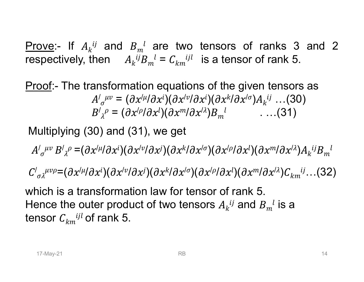Prove:- If  $A_k{}^{ij}$  and  $B_m{}^l$  are two tens<br>respectively, then  $A_k{}^{ij}B_m{}^l = C_{km}{}^{ijl}$  is a Prove:- If  $A_k^{ij}$  and  $B_m^l$  are two tensors of ranks 3 and 2 <sup>l</sup> are two tensors of ranks 3 and 2<br> $B_m^l = C_{km}^{ijkl}$  is a tensor of rank 5. **Prove:-** If  $A_k^{ij}$  and  $B_m^{jl}$  are two tensors<br>respectively, then  $A_k^{ij}B_m^{jl} = C_{km}^{ijl}$  is a tens<br>Proof:- The transformation equations of the ij $R$   $l = C$ , ijl  $_{m}^{l}=C_{km}^{i j l}$  is a tensor of rank 5. For tensors of ranks 3 and 2<br>  $i j l$  is a tensor of rank 5.<br>
ions of the given tensors as

Prove:- If  $A_k^{ij}$  and  $B_m^{i}$  are two tensors of ranks 3 and 2<br>respectively, then  $A_k^{ij}B_m^{i} = C_{km}^{ijl}$  is a tensor of rank 5.<br>Proof:- The transformation equations of the given tensors as<br> $A'_\sigma^{\mu\nu} = (\partial x'^{\mu} / \partial x^i)(\partial x'^{\nu$  $\mu v = \mu \partial x$  $\partial_{\sigma}^{\mu\nu} = (\partial x^{/\mu}/\partial x^{i})(\partial x^{/\nu}/\partial x^{i})(\partial x^{k}/\partial x^{/\sigma})A_{k}^{\ ij} \dots (30)$ and  $B_m^l$  are two tensors of ran<br>
n  $A_k^{ij}B_m^{l} = C_{km}^{ijl}$  is a tensor of ran<br>
sformation equations of the given te<br>  $\mu v = (\partial x^{l\mu}/\partial x^i)(\partial x^{l\nu}/\partial x^i)(\partial x^{k}/\partial x^{l\sigma})A_k^{ij}$ <br>  $\rho = (\partial x^{l\rho}/\partial x^l)(\partial x^m/\partial x^{l\lambda})B_m^{l}$  ...  $\partial_{\lambda} \rho = (\partial x^{/\rho}/\partial x^{l})(\partial x^{m}/\partial x^{l}\partial_{m}^{l})B_{m}^{l}$  ...(31) and  $B_m^l$  are two tensors of rar<br>  $A_k^{ij}B_m^l = C_{km}^{ijl}$  is a tensor of rar<br>
isformation equations of the given transformation equations of the given transformation  $\sigma_{\sigma}^{\mu\nu} = (\partial x^{l\mu}/\partial x^i)(\partial x^{l\nu}/\partial x^i)(\partial x^{k}/\partial x^{l\sigma})A$ ranks 3 and 2<br>of rank 5.<br>n tensors as<br> $A_k{}^{ij}$  ...(30)<br>. ...(31) Prove:- If  $A_k^{ij}$  and  $B_m^{1i}$  are two tensors of ranks 3 and<br>
respectively, then  $A_k^{ij}B_m^{1i} = C_{km}^{ijl}$  is a tensor of rank 5.<br>
Proof:- The transformation equations of the given tensors as<br>  $A'_\sigma^{uv} = (\partial x'^{li}\partial x^i)(\partial x'^{vl}\partial$ Proof:- The transformation equations of the given tensors as<br>  $A'_{\sigma}{}^{\mu\nu} = (\partial x'^{\mu}/\partial x^i)(\partial x'^{\nu}/\partial x^i)(\partial x^{k}/\partial x'^{\sigma})A_{k}{}^{ij} \dots (30)$ <br>  $B'_{\lambda}{}^{\rho} = (\partial x'^{\rho}/\partial x^1)(\partial x^{m}/\partial x'^{\lambda})B_{m}{}^{l} \dots (31)$ <br>
Multiplying (30) and (31), we ge

 $\sigma'$   $\sigma$   $\lambda'$   $\sigma$   $(\sigma \lambda'') \sigma \lambda'$   $\lambda'$  $\mu\nu\left(B'\right)_\lambda{}^\rho=(\partial x'^\mu/\partial x^i)(\partial x'^\nu/\partial x^j)(\partial x^k/\partial x'^\sigma)(\partial x'^\rho/\partial x^l)(\partial x^m/\partial x'^\lambda)A_k{}^{ij}B_m{}^l$  $\int_\sigma^{\mu\nu} B'_{\lambda}{}^{\rho} = (\partial x'^{\mu}/\partial x^i)(\partial x'^{\nu}/\partial x^j)(\partial x^k/\partial x'^{\sigma})(\partial x'^{\rho}/\partial x^l)(\partial x^m/\partial x'^{\lambda})A_k{}^{ij}B_m{}^l$  $\boldsymbol{m}$  $\iota$  $\int_{\sigma} \int_{\alpha}^{\mu\nu} B'_{\lambda} \rho = (\partial x^{/\mu}/\partial x^{i})(\partial x^{/\nu}/\partial x^{j})(\partial x^{k}/\partial x^{l\sigma})(\partial x^{/\rho}/\partial x^{l}) (\partial x^{m}/\partial x^{l\lambda}) A_{k}^{ij} B_{m}^{l\lambda}$ <br>  $\int_{\sigma} \frac{\partial}{\partial x^{l\mu}} = (\partial x^{/\mu}/\partial x^{i})(\partial x^{/\nu}/\partial x^{j})(\partial x^{k}/\partial x^{l\sigma})(\partial x^{/\rho}/\partial x^{l})(\partial x^{m}/\partial x^{l\lambda}) C_{km}^{ij}...$  (32)<br>
ani / =( / / )( / / )( / / )( / / )( / / ) …(32) Hood: The transformation equations of the given tensors as<br>  $A'_\mu{}^{\mu\nu} = (\partial x'^\mu/\partial x^i)(\partial x'^\nu/\partial x^i)(\partial x^k/\partial x'^\sigma)A_k{}^{\mu\nu}$  ...(30)<br>  $B'_A{}^{\rho} = (\partial x'^\mu/\partial x^i)(\partial x^{m/\partial x'^\lambda})B_m{}^{\mu}$  ....(31)<br>
Multiplying (30) and (31), we get<br>  $A'_\$ insors as<br>..(30)<br>(31)<br> ${^{l}\partial x^{l\lambda}}$ ) $A_{k}{}^{ij}B_{m}{}^{l}$ <br> $^{l})C_{km}{}^{ij}$ ...(32)<br>is a

 $^{ij}$  and  $B_{m}^{\phantom{m}l}$  is a tensor  $C_{km}$ <sup>*ijl*</sup> of rank 5.  $A^T \sigma^{TT} = (\partial x^{T} \partial x^T)(\partial x^{T} \partial x^T)(\partial x^{T} \partial x^{T}) A^T A^T B^T$ <br>  $B'_{\lambda}{}^{\rho} = (\partial x^{/\rho} \partial x^{l})(\partial x^{m} \partial x^{l \lambda}) B^{-l}_{m}$ <br>
g (30) and (31), we get<br>  $=(\partial x^{/\mu} \partial x^{i})(\partial x^{/\nu} \partial x^{j})(\partial x^{k} \partial x^{l \sigma})(\partial x^{l \rho} \partial x^{l})(\partial x^{r} \partial x^{r})$ <br>  $(x^{/\mu} \partial x^{i})(\partial x^{/\nu$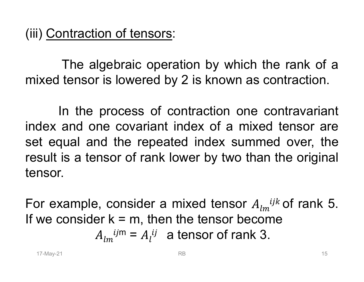ntraction of tensors:<br>The algebraic operation by which the rank of a<br>tensor is lowered by 2 is known as contraction. (iii) <u>Contraction of tensors</u>:<br>The algebraic operation by which the rank of a<br>mixed tensor is lowered by 2 is known as contraction.<br>In the process of contraction one contravariant

Intraction of tensors:<br>
The algebraic operation by which the rank of a<br>
In the process of contraction one contravariant<br>
In the process of contraction one contravariant<br>
and one covariant index of a mixed tensor are<br>
and t (iii) <u>Contraction of tensors</u>:<br>
The algebraic operation by which the rank of a<br>
mixed tensor is lowered by 2 is known as contraction.<br>
In the process of contraction one contravariant<br>
index and one covariant index of a mi set equal and the repeated index summed over, the Be the sull is a tensor of rank lower by two than the original<br>
nsor.<br>
Drexample, consider a mixed tensor  $A_{lm}^{ijkl}$  of rank 5.<br>
We consider  $k = m$ , then the tensor become<br>  $A_{lm}^{ijm} = A_l^{ij}$  a tensor of rank 3. The algebraic operation by which the rank of a<br>mixed tensor is lowered by 2 is known as contraction.<br>In the process of contraction one contravariant<br>index and one covariant index of a mixed tensor are<br>set equal and the rep tensor. In the process of contraction one contravariant<br>index and one covariant index of a mixed tensor are<br>set equal and the repeated index summed over, the<br>result is a tensor of rank lower by two than the original<br>tensor.<br>For e In the process of contraction one contravariant<br>index and one covariant index of a mixed tensor are<br>set equal and the repeated index summed over, the<br>result is a tensor of rank lower by two than the original<br>tensor.<br>For e covariant index of a mixed tensor are<br>he repeated index summed over, the<br>r of rank lower by two than the original<br>msider a mixed tensor  $A_{lm}^{ijk}$  of rank 5.<br>= m, then the tensor become<br> $m = A_l^{ij}$  a tensor of rank 3.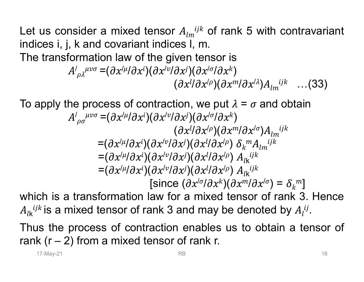Let us consider a mixed tensor  $A_{lm}^{ijk}$  of rank 5 with contrav<br>indices i, j, k and covariant indices I, m.<br>The transformation law of the given tensor is  $i$ <sup>ik</sup> of rank 5 with contravariant<br>m.<br>tensor is Let us consider a mixed tensor  $A_{lm}^{ijkl}$  of rank 5 with contravariant indices i, j, k and covariant indices l, m.<br>The transformation law of the given tensor is  $A'_{\alpha\lambda}^{ilvo} = (\partial x^{il} / \partial x^i)(\partial x^{iv} / \partial x^j)(\partial x^{i\alpha} / \partial x^k)$ Let us consider a mixed tensor  $A_{lm}^{ijkl}$  of rank 5 with contravariant<br>indices i, j, k and covariant indices I, m.<br>The transformation law of the given tensor is<br> $A'_{\rho\lambda}^{\mu\nu\sigma} = (\partial x^{i\mu} \partial x^{i})(\partial x^{i\nu} \partial x^{j})(\partial x^{i\sigma} \partial x^{k})$ Let us consider a mixed tensor  $A_{lm}^{ijkl}$  of rank 5 with contravariant<br>indices i, j, k and covariant indices l, m.<br>The transformation law of the given tensor is<br> $A'_{\rho\lambda}{}^{\mu\nu\sigma} = (\partial x^{\prime\mu}/\partial x^i)(\partial x^{\prime\sigma}/\partial x^{\prime})$ <br> $(\partial x^{\prime\prime$ 

 $\int_{\rho \lambda}^{\mu \nu \sigma} = (\partial x^{\prime \mu} / \partial x^i) (\partial x^{\prime \nu} / \partial x^j) (\partial x^{\prime \sigma} / \partial x^k)$ )  $(\partial x^{l}/\partial x^{l\rho})(\partial x^{m}/\partial x^{l\lambda})A_{lm}^{~~ijk}~~...$  (33)

 $\mu v \sigma = \theta$  $\partial_\rho \rho_\sigma^{\mu\nu\sigma} = (\partial x^{\prime\mu}/\partial x^i)(\partial x^{\prime\nu}/\partial x^j)(\partial x^{\prime\sigma}/\partial x^k)$ )  $(\partial x^{l}/\partial x^{l\rho})(\partial x^{m}/\partial x^{l\sigma})A_{lm}{}^{ijk}$  $=(\partial x^{/\mu}/\partial x^{i})(\partial x^{/\nu}/\partial x^{j})(\partial x^{l}/\partial x^{/\rho})\,\,\delta_{k}^{\,\,m}A_{lm}^{\,\,ijk}$  $lm^2$  $\mu/\partial x^i$ )( $\partial x^j$  $\nu/\partial x^j$ )( $\partial x^l/\partial x^j$  $\rho$ )  $A_{\mu}$  ijk  $lk$  $=(\partial x^{/\mu}/\partial x^{i})(\partial x^{/\nu}/\partial x^{j})(\partial x^{l}/\partial x^{/\rho})$   $A_{lk}^{ijk}$ = $(\partial x^{l\mu} \partial x^{i})(\partial x^{l\nu} \partial x^{j})(\partial x^{l\mu} \partial x^{l\rho}) \delta_{k}{}^{m} A_{lm}{}^{ljk}$ <br>
= $(\partial x^{l\mu} \partial x^{i})(\partial x^{l\nu} \partial x^{j})(\partial x^{l\mu} \partial x^{l\rho}) A_{lk}{}^{ljk}$ <br>
= $(\partial x^{l\mu} \partial x^{i})(\partial x^{l\nu} \partial x^{j})(\partial x^{l\mu} \partial x^{l\rho}) A_{lk}{}^{ljk}$ <br>
[since  $(\partial x^{l\sigma} \partial x^{k})(\partial x^{m\mu} \partial x^{l\sigma})$  $=(\partial x^{/\mu}/\partial x^{i})(\partial x^{/\nu}/\partial x^{j})(\partial x^{l}/\partial x^{/\rho})$   $A_{lk}^{ijk}$ [since  $(\partial x^{/\sigma}/\partial x^{k})(\partial x^{m}/\partial x^{/\sigma}) = \delta_{k}{}^{m}]$  $(\partial x^{ij}\partial x^{j\theta})(\partial x^{m}i\partial x^{j\lambda})A_{lm}^{ijk}$  ...(33)<br>
To apply the process of contraction, we put  $\lambda = \sigma$  and obtain<br>  $A^{j}_{\rho\sigma}{}^{\mu\nu\sigma} = (\partial x^{j\mu}i\partial x^{i})(\partial x^{j\nu}i\partial x^{j})(\partial x^{j\sigma}i\partial x^{k})$ <br>  $(\partial x^{ij}\partial x^{j\rho})(\partial x^{m}i\partial x^{j\sigma})A_{lm}^{ijk}$ <br>  $= (\$ apply the process of contraction, we put  $\lambda = \sigma$  and obtain<br>  $A'_{\rho\sigma}{}^{\mu\nu\sigma} = (\partial x'^{\mu}/\partial x^i)(\partial x'^{\nu}/\partial x^j)(\partial x'^{\sigma}/\partial x^k)$ <br>  $(\partial x'^{l}\partial x'^{\rho})(\partial x^{\mu}/\partial x'^{\sigma})A_{lm}{}^{ijk}$ <br>  $= (\partial x'^{\mu}/\partial x^i)(\partial x'^{\nu}/\partial x^j)(\partial x'^{l}\partial x'^{\rho}) A_{lk}{}^{ijk}$ <br>  $= (\partial x'^{\mu$  $A'_{\rho\sigma}{}^{\mu\nu\sigma} = (\partial x'^{\mu}/\partial x^{i})(\partial x'^{\nu}/\partial x^{j})(\partial x'^{\sigma}/\partial x'^{\kappa})$ <br>  $(\partial x'^{\mu}/\partial x'^{\sigma})(\partial x'^{\mu}/\partial x'^{\sigma})A_{lm}{}^{ijk}$ <br>  $= (\partial x'^{\mu}/\partial x^{i})(\partial x'^{\nu}/\partial x'^{\sigma})(\partial x'^{\mu}/\partial x'^{\rho}) A_{lk}{}^{ijk}$ <br>  $= (\partial x'^{\mu}/\partial x^{i})(\partial x'^{\nu}/\partial x'^{\sigma})(\partial x'^{\mu}/\partial x'^{\rho}) A_{lk}{}^{ijk}$ <br>  $= (\partial x'^{\mu}/\$  $(\partial x^{ij}\partial x^{j\theta})(\partial x^{m}i\partial x^{j\theta})A_{lm}^{ijkl}$ <br>  $=(\partial x^{l\mu}i\partial x^{i})(\partial x^{l\nu}i\partial x^{j})(\partial x^{l}i\partial x^{l\rho}) A_{lk}^{ijkl}$ <br>  $=(\partial x^{l\mu}i\partial x^{i})(\partial x^{l\nu}i\partial x^{j})(\partial x^{l\mu}i\partial x^{l\rho}) A_{lk}^{ijkl}$ <br>  $=(\partial x^{l\mu}i\partial x^{i})(\partial x^{l\nu}i\partial x^{j})(\partial x^{l\mu}i\partial x^{l\rho})A_{lk}^{ijkl}$ <br>
[since

 $A_{ik}^{ijk}$  is a mixed tensor of rank 3 and may be denoted by  $A_i^{ij}$ .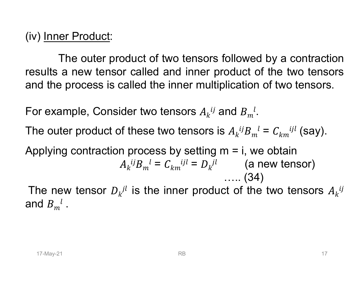(iv) <u>Inner Product</u>:<br>The outer product of two tensors er Product:<br>The outer product of two tensors followed by a contraction<br>a new tensor called and inner product of the two tensors<br>e process is called the inner multiplication of two tensors. (iv) <u>Inner Product</u>:<br>The outer product of two tensors followed by a contraction<br>results a new tensor called and inner product of the two tensors<br>and the process is called the inner multiplication of two tensors. (iv) <u>Inner Product</u>:<br>The outer product of two tensors followed by a contraction<br>results a new tensor called and inner product of the two tensors<br>and the process is called the inner multiplication of two tensors.<br>For exam (iv) <u>Inner Product</u>:<br>The outer product of two tensors followed by a cont<br>results a new tensor called and inner product of the two t<br>and the process is called the inner multiplication of two ten<br>For example, Consider two (iv) <u>Inner Product</u>:<br>
The outer product of two tensors followed by a contraction<br>
results a new tensor called and inner product of the two tensors<br>
and the process is called the inner multiplication of two tensors.<br>
For (iv) <u>Inner Product</u>:<br>
The outer product of two tensors followed by a contraction<br>
results a new tensor called and inner product of the two tensors<br>
and the process is called the inner multiplication of two tensors.<br>
For is followed by a contraction<br>product of the two tensors<br>tiplication of two tensors.<br><br> $\frac{d}{dt}$  and  $B_m^l$ .<br><br>is  $A_k^{ij}B_m^l = C_{km}^{ijl}$  (say).<br><br> $\frac{1}{2}$  m = i, we obtain<br>(a new tensor)<br>...... (34)<br><br>duct of the two tensors  $A$ 

For example, Consider two tensors  $A_k{}^{ij}$  and  $B_m{}^{l}$ .  $\iota$ 

 $ijR$   $l = \Gamma$ , ijl  $_{m}{}^{l}=C_{km}{}^{ijl}$  (say).

plying contraction process by setting  $m = i$ , we obtain<br>  $A_k^{ij}B_m^{jl} = C_{km}^{ijl} = D_k^{jl}$  (a new tensor)<br>
the new tensor  $D_k^{jl}$  is the inner product of the two tensors  $A_k^{ij}$ <br>
d  $B_m^{jl}$ .  $k^2$  $\bm{D}_m$  –  $\bm{C}_{km}$ <sup>2</sup> –  $\bm{D}_l$ ij $R$   $l = C$ , iji  $\boldsymbol{v}_m^l = \boldsymbol{C}_{km}^{i j l} = \boldsymbol{D}_k^{j l}$  (a new tens ollowed by a contraction<br>oduct of the two tensors<br>lication of two tensors.<br>and  $B_m^l$ .<br> $A_k^{ij}B_m^l = C_{km}^{ijl}$  (say).<br> $m = i$ , we obtain<br>(a new tensor)<br>..... (34)<br>t of the two tensors  $A_k^{ij}$ and the process is called the inner multiple<br>of the process is called the inner multiple<br>of the outer product of these two tensors  $A_k^{ij}$  and<br>the outer product of these two tensors is<br>Applying contraction process by sett is alled the inner multiplication of two tensors.<br>
der two tensors  $A_k^{ij}$  and  $B_m^l$ .<br>
If these two tensors is  $A_k^{ij}B_m^{l} = C_{km}^{ijl}$  (say).<br>
i process by setting m = i, we obtain<br>  $A_k^{ij}B_m^{l} = C_{km}^{ijl} = D_k^{jl}$  (a new tenso

 $ij$ and  $B_{m}{}^{l}$  .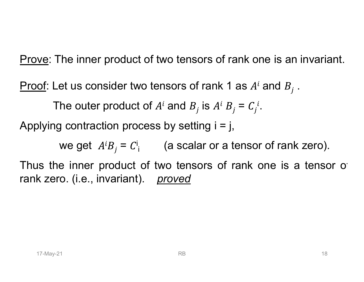<u>Prove</u>: The inner product of two tensors of rank one is an invariant.<br>Proof: Let us consider two tensors of rank 1 as  $A^i$  and  $B_i$  . Prove: The inner product of two tensors of rank one is an invariant.<br>Proof: Let us consider two tensors of rank 1 as  $A^i$  and  $B_j$ .<br>The outer product of  $A^i$  and  $B_j$  is  $A^i B_j = C_j^i$ . The inner product of two tensors of rank one is an invarian<br>Let us consider two tensors of rank 1 as  $A^i$  and  $B_j$ .<br>The outer product of  $A^i$  and  $B_j$  is  $A^i B_j = C_j^i$ .<br>Ing contraction process by setting i = j, **Prove:** The inner product of two tensors of rank one is an invariant.<br> **Proof:** Let us consider two tensors of rank 1 as  $A^i$  and  $B_j$ .<br>
The outer product of  $A^i$  and  $B_j$  is  $A^i B_j = C_j^i$ .<br>
Applying contraction process

is  $A^i B_j = C_j^i$ .  $\mathbf{i}$ 

we get  $A^{i}B_{j}=C_{i}^{i}$  (a scalar or a tensor of rank zero).

we get  $A^i B_j = C^i$ ; (a scalar or a tensor of rank zero).<br>
18 the inner product of two tensors of rank one is a tensor of<br>
18 k zero. (i.e., invariant). <u>proved</u><br>
18 RB **Prove:** The inner product of two tensors of rank one is an invariant.<br> **Proof:** Let us consider two tensors of rank 1 as  $A^i$  and  $B_j$ .<br>
The outer product of  $A^i$  and  $B_j$  is  $A^i B_j = C_j^i$ .<br>
Applying contraction process **Proof:** Let us consider two tensors of rank 1 as<br>The outer product of  $A^i$  and  $B_j$  is  $A^i B_j$  =<br>Applying contraction process by setting  $i = j$ ,<br>we get  $A^i B_j = C^i$ ; (a scalar or a ten<br>Thus the inner product of two tensor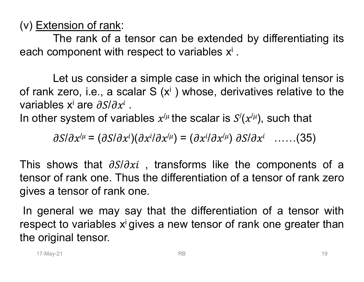(v) **Extension of rank:**<br>The rank of a tensor can be extended k<br>each component with respect to variables  $x^i$ . ension of rank:<br>The rank of a tensor can be extended by differentiating its<br>omponent with respect to variables x<sup>i</sup> .

(v) **Extension of rank:**<br>The rank of a tensor can be extended by differentiating its<br>each component with respect to variables x<sup>i</sup> .<br>Let us consider a simple case in which the original tensor is<br>of rank zero, i.e., a scal (v) **Extension of rank:**<br>
The rank of a tensor can be extended by differentiating its<br>
each component with respect to variables  $x^i$ .<br>
Let us consider a simple case in which the original tensor is<br>
of rank zero, i.e., a (v) Extension of rank:<br>
The rank of a tensor can be exte<br>
each component with respect to variable<br>
Let us consider a simple case in v<br>
of rank zero, i.e., a scalar S (x<sup>i</sup>) whose,<br>
variables x<sup>i</sup> are  $\partial S/\partial x^i$ .<br>
In other . (v) Extension of rank:<br>
The rank of a tensor can be extended by<br>
each component with respect to variables  $x^i$ .<br>
Let us consider a simple case in which the<br>
of rank zero, i.e., a scalar S (x<sup>i</sup>) whose, derivativ<br>
variabl the extended by differentiating its<br>
b variables  $x^i$ .<br>
case in which the original tensor is<br>
) whose, derivatives relative to the<br>
the scalar is  $S'(x^{/\mu})$ , such that<br>  $x^i$ ) =  $(\partial x^i/\partial x^{/\mu}) \partial S/\partial x^i$  ......(35) % differentiating its<br>
be original tensor is<br>
ves relative to the<br>
), such that<br>  $x^i$  …….(35)

In other system of variables  $x^{/\mu}$  the scalar is  $S'(x^{/\mu})$ , such that

 $\partial \alpha^{i\mu} = (\partial S/\partial x^{i})(\partial x^{i}/\partial x^{i\mu}) = (\partial x^{i}/\partial x^{i\mu}) \partial S/\partial x^{i} \quad \ldots \ldots (35)$ 

 $\partial S/\partial x^{l\mu} = (\partial S/\partial x^{i})(\partial x^{l}\partial x^{l\mu}) = (\partial x^{i}/\partial x^{l\mu}) \partial S/\partial x^{i}$  ......(35)<br>
s shows that  $\partial S/\partial x^{i}$ , transforms like the components of a<br>
sor of rank one. Thus the differentiation of a tensor of rank zero<br>
s a tensor of ran each component with respect to variables  $x^i$ .<br>
Let us consider a simple case in which the original tensor is<br>
of rank zero, i.e., a scalar S  $(x^i)$  whose, derivatives relative to the<br>
variables  $x^i$  are  $\frac{\partial S}{\partial x^i}$ . Let us consider a simple case in which the original tensor is<br>of rank zero, i.e., a scalar S (x<sup>i</sup>) whose, derivatives relative to the<br>variables x are  $\partial S/\partial x^i$ .<br>In other system of variables  $x^{i\mu}$  the scalar is  $S'(x^{i$ Let us consider a simple case in which the origin<br>of rank zero, i.e., a scalar S (x<sup>i</sup>) whose, derivatives r<br>variables x<sup>i</sup> are  $\partial S/\partial x^i$ .<br>In other system of variables  $x^{i\mu}$  the scalar is  $S'(x^{i\mu})$ , su<br> $\partial S/\partial x^{i\mu} = (\$ In family 2010, i.e., a scalar 3 (x) whose, derivatives relative to the variables x<sup>i</sup> are  $\frac{\partial S}{\partial x^i}$ .<br>
In other system of variables  $x^{i\mu}$  the scalar is  $S'(x^{i\mu})$ , such that  $\frac{\partial S}{\partial x^{i\mu}} = (\frac{\partial S}{\partial x^i})(\frac{\partial x}{\partial x^{i$ In other system of variables  $x^{/\mu}$  the scalar is  $S'(x^{/\mu})$ , such that<br>  $\partial S/\partial x^{/\mu} = (\partial S/\partial x^{i})(\partial x^{i}/\partial x^{/\mu}) = (\partial x^{i}/\partial x^{/\mu}) \partial S/\partial x^{i}$  ......(35)<br>
This shows that  $\partial S/\partial x^{i}$ , transforms like the components of a<br>
tensor of r  $\partial S/\partial x^{l\mu} = (\partial S/\partial x^{i})(\partial x^{i}/\partial x^{l\mu}) = (\partial x^{i}/\partial x^{l\mu})$ <br>This shows that  $\partial S/\partial x^{i}$ , transforms like<br>tensor of rank one. Thus the differentiation<br>gives a tensor of rank one.<br>In general we may say that the differen<br>respect to